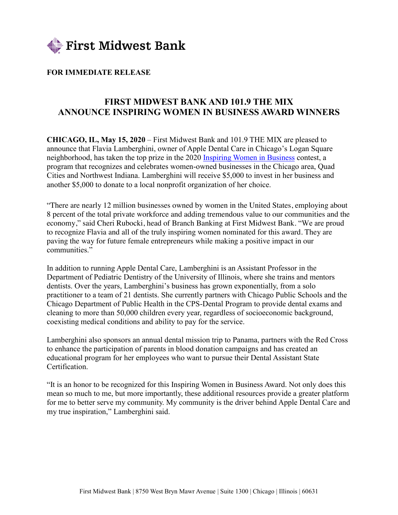

## **FOR IMMEDIATE RELEASE**

## **FIRST MIDWEST BANK AND 101.9 THE MIX ANNOUNCE INSPIRING WOMEN IN BUSINESS AWARD WINNERS**

**CHICAGO, IL, May 15, 2020** – First Midwest Bank and 101.9 THE MIX are pleased to announce that Flavia Lamberghini, owner of Apple Dental Care in Chicago's Logan Square neighborhood, has taken the top prize in the 2020 Inspiring Women in Business contest, a program that recognizes and celebrates women-owned businesses in the Chicago area, Quad Cities and Northwest Indiana. Lamberghini will receive \$5,000 to invest in her business and another \$5,000 to donate to a local nonprofit organization of her choice.

"There are nearly 12 million businesses owned by women in the United States, employing about 8 percent of the total private workforce and adding tremendous value to our communities and the economy," said Cheri Rubocki, head of Branch Banking at First Midwest Bank. "We are proud to recognize Flavia and all of the truly inspiring women nominated for this award. They are paving the way for future female entrepreneurs while making a positive impact in our communities."

In addition to running Apple Dental Care, Lamberghini is an Assistant Professor in the Department of Pediatric Dentistry of the University of Illinois, where she trains and mentors dentists. Over the years, Lamberghini's business has grown exponentially, from a solo practitioner to a team of 21 dentists. She currently partners with Chicago Public Schools and the Chicago Department of Public Health in the CPS-Dental Program to provide dental exams and cleaning to more than 50,000 children every year, regardless of socioeconomic background, coexisting medical conditions and ability to pay for the service.

Lamberghini also sponsors an annual dental mission trip to Panama, partners with the Red Cross to enhance the participation of parents in blood donation campaigns and has created an educational program for her employees who want to pursue their Dental Assistant State Certification.

"It is an honor to be recognized for this Inspiring Women in Business Award. Not only does this mean so much to me, but more importantly, these additional resources provide a greater platform for me to better serve my community. My community is the driver behind Apple Dental Care and my true inspiration," Lamberghini said.